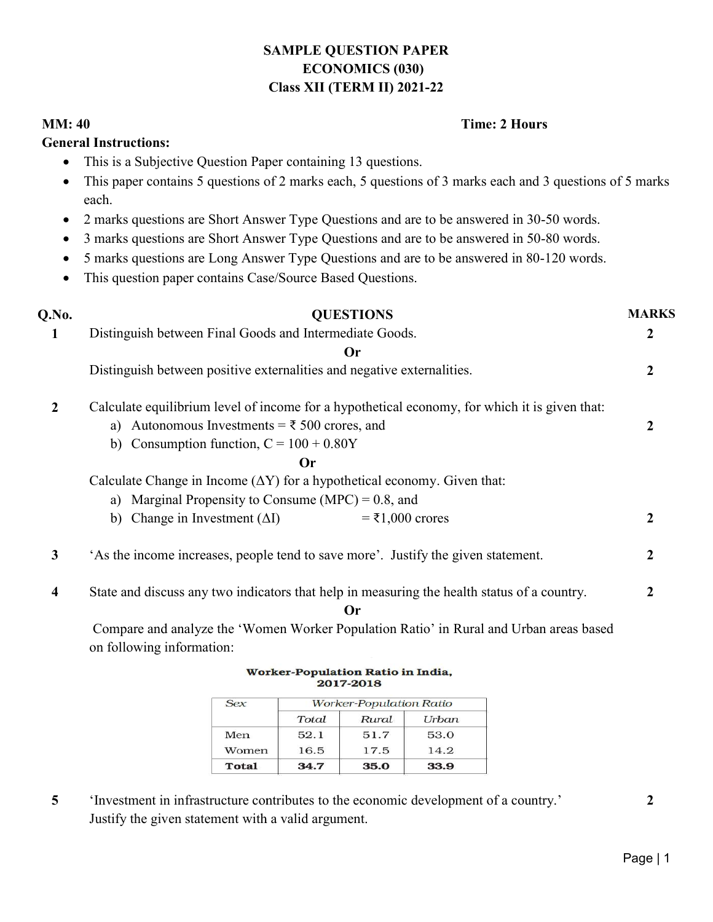# SAMPLE QUESTION PAPER ECONOMICS (030) Class XII (TERM II) 2021-22

## MM: 40

## Time: 2 Hours 2 Hours

## General Instructions:

- This is a Subjective Question Paper containing 13 questions.
- This paper contains 5 questions of 2 marks each, 5 questions of 3 marks each and 3 questions of 5 marks each. This paper contains 5 questions of 2 marks each, 5 questions of 3 marks each and 3 questions each.<br>
• 2 marks questions are Short Answer Type Questions and are to be answered in 30-50 words.
- 
- 3 marks questions are Short Answer Type Questions and are to be answered in 50-80 words.
- 5 marks questions are Long Answer Type Questions and are to be answered in 80-120 words.
- This question paper contains Case/Source Based Questions.

| Q.No.                   | <b>QUESTIONS</b>                                                                              | <b>MARKS</b>   |  |
|-------------------------|-----------------------------------------------------------------------------------------------|----------------|--|
| 1                       | Distinguish between Final Goods and Intermediate Goods.                                       | $\overline{2}$ |  |
|                         | <b>Or</b>                                                                                     |                |  |
|                         | Distinguish between positive externalities and negative externalities.                        | 2              |  |
| $\overline{2}$          | Calculate equilibrium level of income for a hypothetical economy, for which it is given that: |                |  |
|                         | a) Autonomous Investments = $\overline{\xi}$ 500 crores, and                                  | 2              |  |
|                         | b) Consumption function, $C = 100 + 0.80Y$                                                    |                |  |
|                         | <b>Or</b>                                                                                     |                |  |
|                         | Calculate Change in Income $(\Delta Y)$ for a hypothetical economy. Given that:               |                |  |
|                         | a) Marginal Propensity to Consume (MPC) = $0.8$ , and                                         |                |  |
|                         | Change in Investment $(\Delta I)$<br>$=$ ₹1,000 crores<br>b)                                  | $\overline{2}$ |  |
| $\mathbf{3}$            | 'As the income increases, people tend to save more'. Justify the given statement.             | $\mathbf{2}$   |  |
| $\overline{\mathbf{4}}$ | State and discuss any two indicators that help in measuring the health status of a country.   | 2              |  |
|                         | Or                                                                                            |                |  |
|                         | Compare and analyze the 'Women Worker Population Ratio' in Rural and Urban areas based        |                |  |

on following information:

Worker-Population Ratio in India, 2017-2018

| Sex   | <b>Worker-Population Ratio</b> |       |       |  |
|-------|--------------------------------|-------|-------|--|
|       | Total                          | Rural | Urban |  |
| Men   | 52.1                           | 51.7  | 53.0  |  |
| Women | 16.5                           | 17.5  | 14.2  |  |
| Total | 34.7                           | 35.0  | 33.9  |  |

5 'Investment in infrastructure contributes to the economic development of a country.' Justify the given statement with a valid argument.

2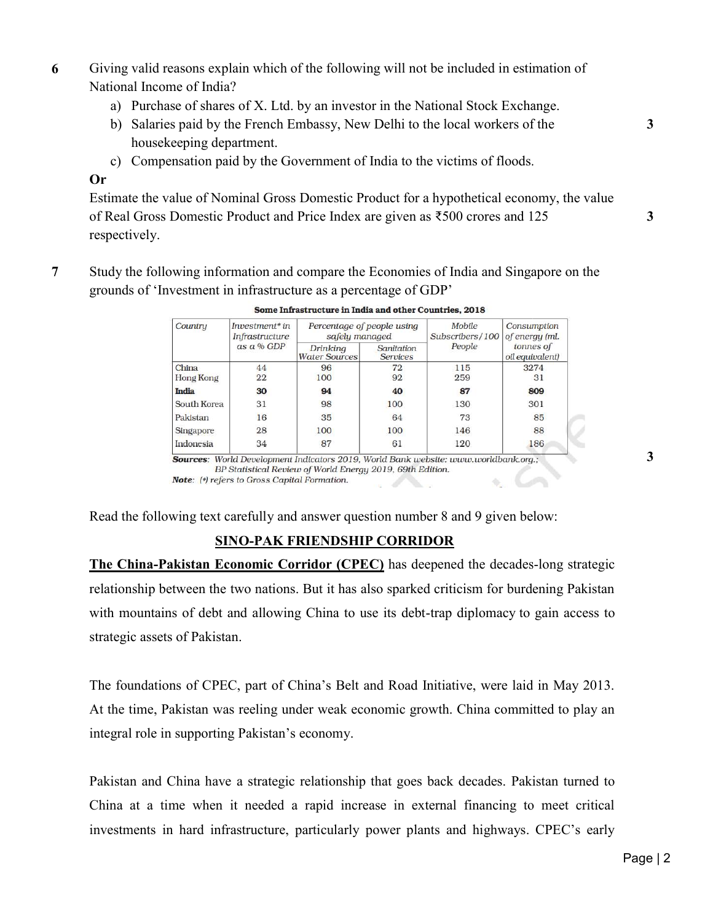- 6 Giving valid reasons explain which of the following will not be included in estimation of National Income of India? n which of the following will not be included in estimation<br>of X. Ltd. by an investor in the National Stock Exchange.<br>French Embassy, New Delhi to the local workers of the
	- a) Purchase of shares of X. Ltd. by an investor in the National Stock Exchange.
	- b) Salaries paid by the French Embassy, New Delhi to the local workers of the housekeeping department.
	- c) Compensation paid by the Government of India to the victims of floods.

## Or

Estimate the value of Nominal Gross Domestic Product for a hypothetical economy, the value of Real Gross Domestic Product and Price Index are given as  $\text{\textless}500$  crores and 125 respectively. ompensation paid by the Government of India to the victims of floods.<br>the value of Nominal Gross Domestic Product for a hypothetical economy<br>ross Domestic Product and Price Index are given as ₹500 crores and 125

7 Study the following information and compare the Economies of India and Singapore on the grounds of 'Investment in infrastructure as a percentage of GDP'

|                           | Investment* in<br>Infrastructure<br>$as a \% GDP$ | Percentage of people using<br>safely managed |                               | Mobile<br>Subscribers/100 | Consumption<br>of energy (ml. |
|---------------------------|---------------------------------------------------|----------------------------------------------|-------------------------------|---------------------------|-------------------------------|
|                           |                                                   | Drinking<br><b>Water Sources</b>             | Sanitation<br><b>Services</b> | People                    | tonnes of<br>oil equivalent)  |
| China<br><b>Hong Kong</b> | 44<br>22                                          | 96<br>100                                    | 72<br>92                      | 115<br>259                | 3274<br>31                    |
| India                     | 30                                                | 94                                           | 40                            | 87                        | 809                           |
| South Korea               | 31                                                | 98                                           | 100                           | 130                       | 301                           |
| Pakistan                  | 16                                                | 35                                           | 64                            | 73                        | 85                            |
| Singapore                 | 28                                                | 100                                          | 100                           | 146                       | 88                            |
| Indonesia                 | 34                                                | 87                                           | 61                            | 120                       | 186                           |

# SINO-PAK FRIENDSHIP CORRIDOR

SINO-PAK FRIENDSHIP CORRIDOR<br>The China-Pakistan Economic Corridor (CPEC) has deepened the decades-long strategic relationship between the two nations. But it has also sparked criticism for burdening Pakistan relationship between the two nations. But it has also sparked criticism for burdening Pakistan<br>with mountains of debt and allowing China to use its debt-trap diplomacy to gain access to strategic assets of Pakistan.

The foundations of CPEC, part of China's Belt and Road Initiative, were laid in May 2013. At the time, Pakistan was reeling under weak economic growth. China committed to play an integral role in supporting Pakistan's economy.

Pakistan and China have a strategic relationship that goes back decades. Pakistan turned to China at a time when it needed a rapid increase in external financing to meet critical investments in hard infrastructure, particularly power plants and highways. CPEC's early The foundations of CPEC, part of China's Belt and Road Initiative, were laid in May 201<br>At the time, Pakistan was reeling under weak economic growth. China committed to play<br>integral role in supporting Pakistan's economy.<br>

3

3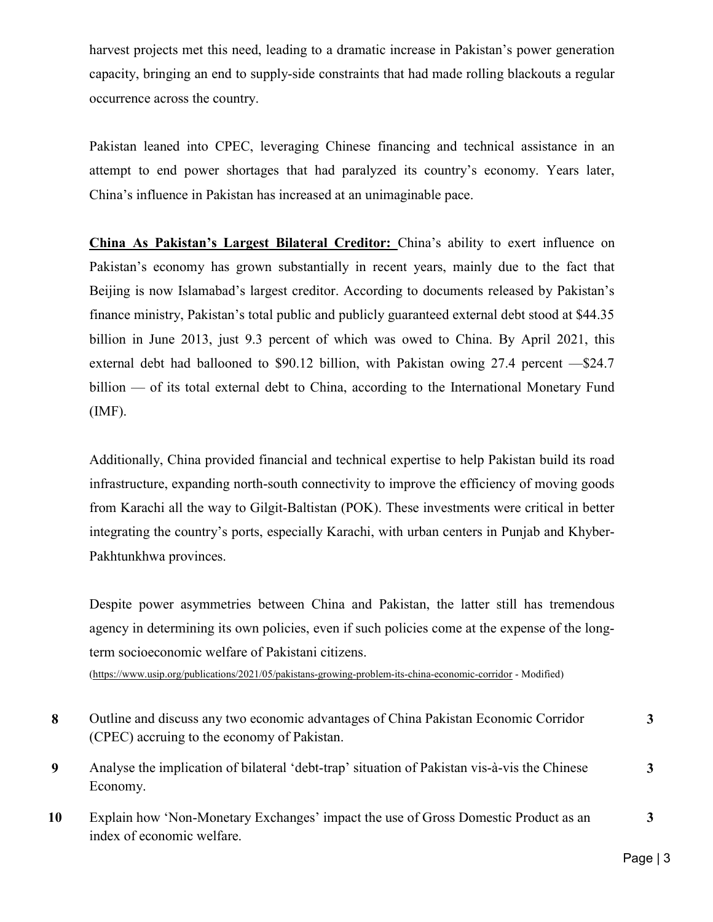harvest projects met this need, leading to a dramatic increase in Pakistan's power generation capacity, bringing an end to supply-side constraints that had made rolling blackouts a regular occurrence across the country.

Pakistan leaned into CPEC, leveraging Chinese financing and technical assistance in an attempt to end power shortages that had paralyzed its country's economy. Years later, China's influence in Pakistan has increased at an unimaginable pace.

China As Pakistan's Largest Bilateral Creditor: China's ability to exert influence on Pakistan's economy has grown substantially in recent years, mainly due to the fact that Beijing is now Islamabad's largest creditor. According to documents released by Pakistan's finance ministry, Pakistan's total public and publicly guaranteed external debt stood at \$44.35 billion in June 2013, just 9.3 percent of which was owed to China. By April 2021, this external debt had ballooned to \$90.12 billion, with Pakistan owing 27.4 percent —\$24.7 billion — of its total external debt to China, according to the International Monetary Fund (IMF).

Additionally, China provided financial and technical expertise to help Pakistan build its road infrastructure, expanding north-south connectivity to improve the efficiency of moving goods from Karachi all the way to Gilgit-Baltistan (POK). These investments were critical in better integrating the country's ports, especially Karachi, with urban centers in Punjab and Khyber-Pakhtunkhwa provinces.

Despite power asymmetries between China and Pakistan, the latter still has tremendous agency in determining its own policies, even if such policies come at the expense of the longterm socioeconomic welfare of Pakistani citizens.

(https://www.usip.org/publications/2021/05/pakistans-growing-problem-its-china-economic-corridor - Modified)

| 8  | Outline and discuss any two economic advantages of China Pakistan Economic Corridor<br>(CPEC) accruing to the economy of Pakistan. | 3 |
|----|------------------------------------------------------------------------------------------------------------------------------------|---|
| 9  | Analyse the implication of bilateral 'debt-trap' situation of Pakistan vis-à-vis the Chinese<br>Economy.                           | 3 |
| 10 | Explain how 'Non-Monetary Exchanges' impact the use of Gross Domestic Product as an<br>index of economic welfare.                  | 3 |